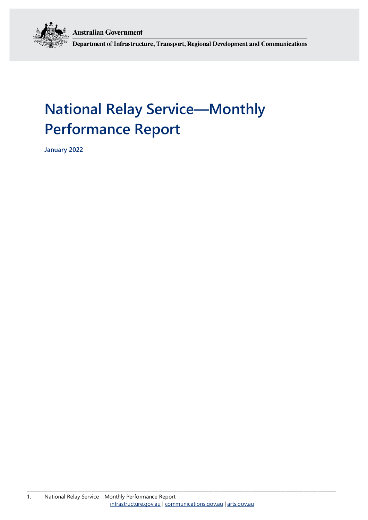**Australian Government** 



Department of Infrastructure, Transport, Regional Development and Communications

# **National Relay Service—Monthly Performance Report**

**January 2022**

\_\_\_\_\_\_\_\_\_\_\_\_\_\_\_\_\_\_\_\_\_\_\_\_\_\_\_\_\_\_\_\_\_\_\_\_\_\_\_\_\_\_\_\_\_\_\_\_\_\_\_\_\_\_\_\_\_\_\_\_\_\_\_\_\_\_\_\_\_\_\_\_\_\_\_\_\_\_\_\_\_\_\_\_\_\_\_\_\_\_\_\_\_\_\_\_\_\_\_\_\_\_\_\_\_\_\_\_\_\_\_\_\_\_\_\_\_\_\_\_\_\_\_\_\_\_\_\_\_\_\_\_\_\_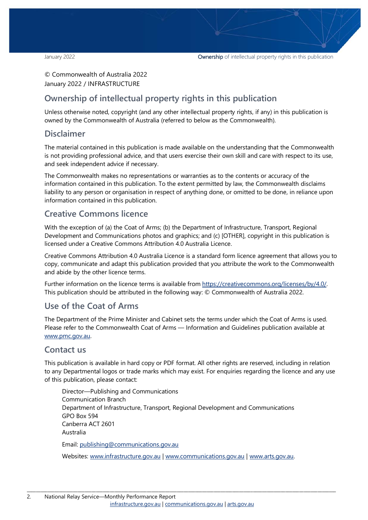© Commonwealth of Australia 2022 January 2022 / INFRASTRUCTURE

### **Ownership of intellectual property rights in this publication**

Unless otherwise noted, copyright (and any other intellectual property rights, if any) in this publication is owned by the Commonwealth of Australia (referred to below as the Commonwealth).

#### **Disclaimer**

The material contained in this publication is made available on the understanding that the Commonwealth is not providing professional advice, and that users exercise their own skill and care with respect to its use, and seek independent advice if necessary.

The Commonwealth makes no representations or warranties as to the contents or accuracy of the information contained in this publication. To the extent permitted by law, the Commonwealth disclaims liability to any person or organisation in respect of anything done, or omitted to be done, in reliance upon information contained in this publication.

#### **Creative Commons licence**

With the exception of (a) the Coat of Arms; (b) the Department of Infrastructure, Transport, Regional Development and Communications photos and graphics; and (c) [OTHER], copyright in this publication is licensed under a Creative Commons Attribution 4.0 Australia Licence.

Creative Commons Attribution 4.0 Australia Licence is a standard form licence agreement that allows you to copy, communicate and adapt this publication provided that you attribute the work to the Commonwealth and abide by the other licence terms.

Further information on the licence terms is available from [https://creativecommons.org/licenses/by/4.0/.](https://creativecommons.org/licenses/by/4.0/) This publication should be attributed in the following way: © Commonwealth of Australia 2022.

### **Use of the Coat of Arms**

The Department of the Prime Minister and Cabinet sets the terms under which the Coat of Arms is used. Please refer to the Commonwealth Coat of Arms — Information and Guidelines publication available at [www.pmc.gov.au.](http://www.pmc.gov.au/) 

#### **Contact us**

This publication is available in hard copy or PDF format. All other rights are reserved, including in relation to any Departmental logos or trade marks which may exist. For enquiries regarding the licence and any use of this publication, please contact:

Director—Publishing and Communications Communication Branch Department of Infrastructure, Transport, Regional Development and Communications GPO Box 594 Canberra ACT 2601 Australia Email: [publishing@communications.gov.au](mailto:publishing@communications.gov.au)

Websites: [www.infrastructure.gov.au](http://www.infrastructure.gov.au/) [| www.communications.gov.au](http://www.communications.gov.au/) | [www.arts.gov.au.](http://www.arts.gov.au/)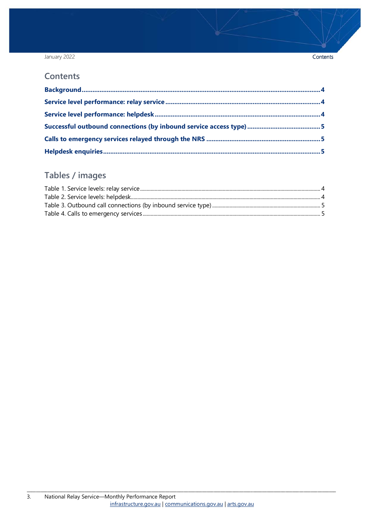#### January 2022

#### **Contents**

### Tables / images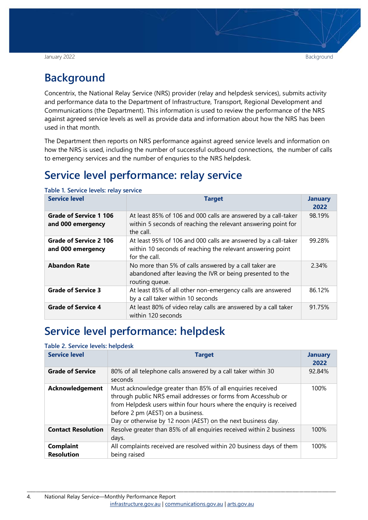## <span id="page-3-0"></span>**Background**

Concentrix, the National Relay Service (NRS) provider (relay and helpdesk services), submits activity and performance data to the Department of Infrastructure, Transport, Regional Development and Communications (the Department). This information is used to review the performance of the NRS against agreed service levels as well as provide data and information about how the NRS has been used in that month.

The Department then reports on NRS performance against agreed service levels and information on how the NRS is used, including the number of successful outbound connections, the number of calls to emergency services and the number of enquries to the NRS helpdesk.

## <span id="page-3-1"></span>**Service level performance: relay service**

| <b>Service level</b>                        | <b>Target</b>                                                                                                                                 | <b>January</b><br>2022 |
|---------------------------------------------|-----------------------------------------------------------------------------------------------------------------------------------------------|------------------------|
| Grade of Service 1 106<br>and 000 emergency | At least 85% of 106 and 000 calls are answered by a call-taker<br>within 5 seconds of reaching the relevant answering point for<br>the call.  | 98.19%                 |
| Grade of Service 2 106<br>and 000 emergency | At least 95% of 106 and 000 calls are answered by a call-taker<br>within 10 seconds of reaching the relevant answering point<br>for the call. | 99.28%                 |
| <b>Abandon Rate</b>                         | No more than 5% of calls answered by a call taker are<br>abandoned after leaving the IVR or being presented to the<br>routing queue.          | 2.34%                  |
| <b>Grade of Service 3</b>                   | At least 85% of all other non-emergency calls are answered<br>by a call taker within 10 seconds                                               | 86.12%                 |
| <b>Grade of Service 4</b>                   | At least 80% of video relay calls are answered by a call taker<br>within 120 seconds                                                          | 91.75%                 |

<span id="page-3-3"></span>**Table 1. Service levels: relay service**

### <span id="page-3-2"></span>**Service level performance: helpdesk**

#### <span id="page-3-4"></span>**Table 2. Service levels: helpdesk**

| <b>Service level</b>                  | <b>Target</b>                                                                                                                                                                                                                                                                                            | <b>January</b><br>2022 |
|---------------------------------------|----------------------------------------------------------------------------------------------------------------------------------------------------------------------------------------------------------------------------------------------------------------------------------------------------------|------------------------|
| <b>Grade of Service</b>               | 80% of all telephone calls answered by a call taker within 30<br>seconds                                                                                                                                                                                                                                 | 92.84%                 |
| <b>Acknowledgement</b>                | Must acknowledge greater than 85% of all enquiries received<br>through public NRS email addresses or forms from Accesshub or<br>from Helpdesk users within four hours where the enquiry is received<br>before 2 pm (AEST) on a business.<br>Day or otherwise by 12 noon (AEST) on the next business day. | 100%                   |
| <b>Contact Resolution</b>             | Resolve greater than 85% of all enquiries received within 2 business<br>days.                                                                                                                                                                                                                            | 100%                   |
| <b>Complaint</b><br><b>Resolution</b> | All complaints received are resolved within 20 business days of them<br>being raised                                                                                                                                                                                                                     | 100%                   |

\_\_\_\_\_\_\_\_\_\_\_\_\_\_\_\_\_\_\_\_\_\_\_\_\_\_\_\_\_\_\_\_\_\_\_\_\_\_\_\_\_\_\_\_\_\_\_\_\_\_\_\_\_\_\_\_\_\_\_\_\_\_\_\_\_\_\_\_\_\_\_\_\_\_\_\_\_\_\_\_\_\_\_\_\_\_\_\_\_\_\_\_\_\_\_\_\_\_\_\_\_\_\_\_\_\_\_\_\_\_\_\_\_\_\_\_\_\_\_\_\_\_\_\_\_\_\_\_\_\_\_\_\_\_